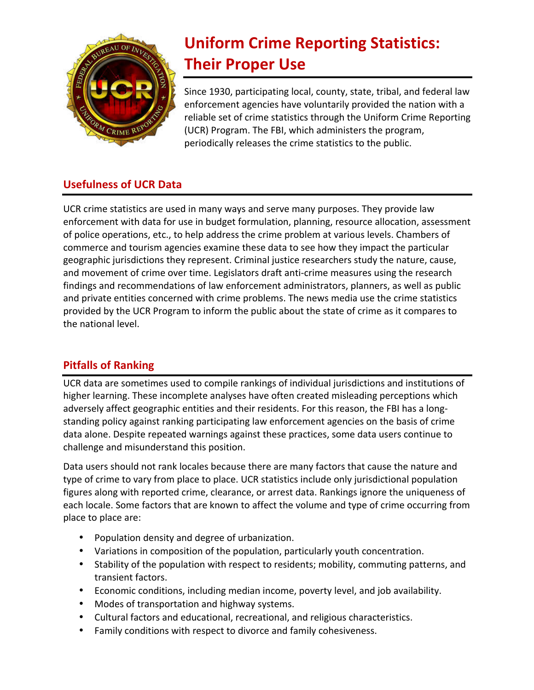

## **Uniform Crime Reporting Statistics: Their Proper Use**

Since 1930, participating local, county, state, tribal, and federal law enforcement agencies have voluntarily provided the nation with a reliable set of crime statistics through the Uniform Crime Reporting (UCR) Program. The FBI, which administers the program, periodically releases the crime statistics to the public.

## **Usefulness of UCR Data**

UCR crime statistics are used in many ways and serve many purposes. They provide law enforcement with data for use in budget formulation, planning, resource allocation, assessment of police operations, etc., to help address the crime problem at various levels. Chambers of commerce and tourism agencies examine these data to see how they impact the particular geographic jurisdictions they represent. Criminal justice researchers study the nature, cause, and movement of crime over time. Legislators draft anti-crime measures using the research findings and recommendations of law enforcement administrators, planners, as well as public and private entities concerned with crime problems. The news media use the crime statistics provided by the UCR Program to inform the public about the state of crime as it compares to the national level.

## **Pitfalls of Ranking**

UCR data are sometimes used to compile rankings of individual jurisdictions and institutions of higher learning. These incomplete analyses have often created misleading perceptions which adversely affect geographic entities and their residents. For this reason, the FBI has a longstanding policy against ranking participating law enforcement agencies on the basis of crime data alone. Despite repeated warnings against these practices, some data users continue to challenge and misunderstand this position.

Data users should not rank locales because there are many factors that cause the nature and type of crime to vary from place to place. UCR statistics include only jurisdictional population figures along with reported crime, clearance, or arrest data. Rankings ignore the uniqueness of each locale. Some factors that are known to affect the volume and type of crime occurring from place to place are:

- Population density and degree of urbanization.
- Variations in composition of the population, particularly youth concentration.
- Stability of the population with respect to residents; mobility, commuting patterns, and transient factors.
- Economic conditions, including median income, poverty level, and job availability.
- Modes of transportation and highway systems.
- Cultural factors and educational, recreational, and religious characteristics.
- Family conditions with respect to divorce and family cohesiveness.